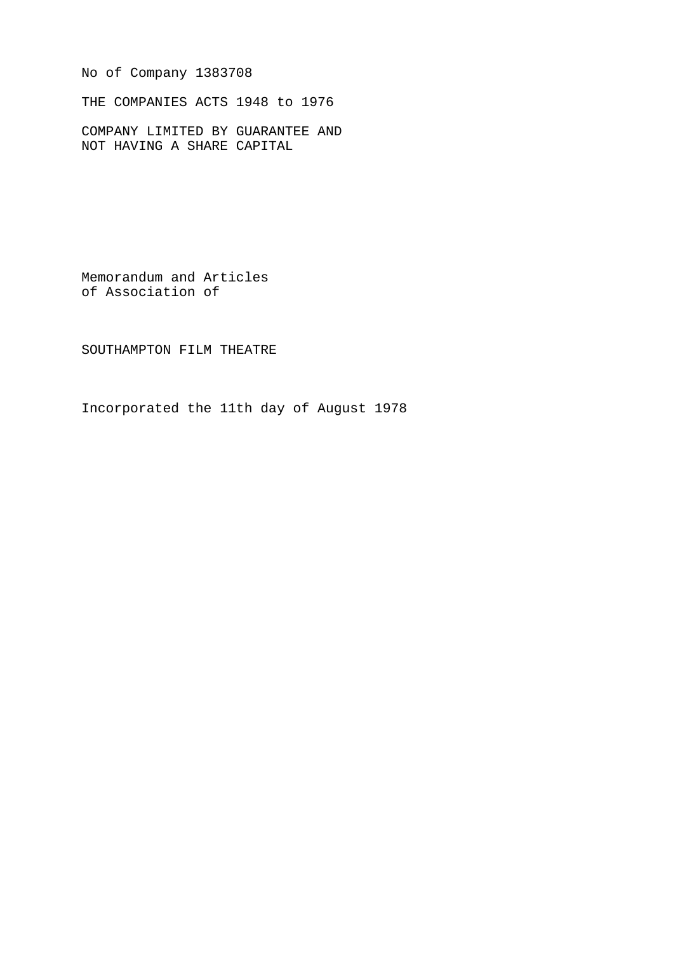No of Company 1383708

THE COMPANIES ACTS 1948 to 1976

COMPANY LIMITED BY GUARANTEE AND NOT HAVING A SHARE CAPITAL

Memorandum and Articles of Association of

SOUTHAMPTON FILM THEATRE

Incorporated the 11th day of August 1978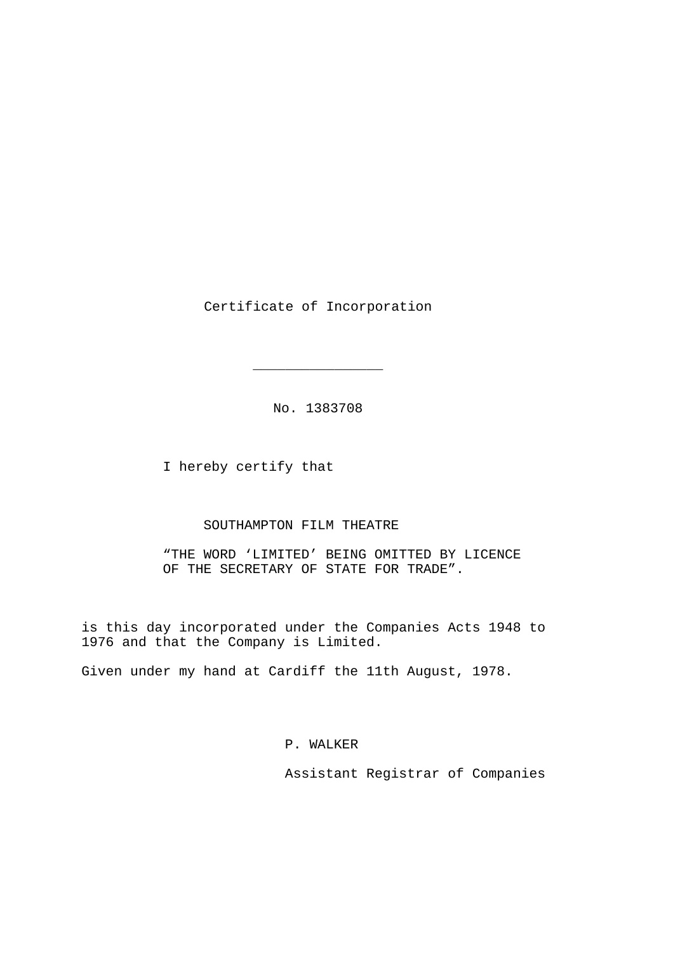Certificate of Incorporation

No. 1383708

\_\_\_\_\_\_\_\_\_\_\_\_\_\_\_\_

I hereby certify that

# SOUTHAMPTON FILM THEATRE

"THE WORD 'LIMITED' BEING OMITTED BY LICENCE OF THE SECRETARY OF STATE FOR TRADE".

is this day incorporated under the Companies Acts 1948 to 1976 and that the Company is Limited.

Given under my hand at Cardiff the 11th August, 1978.

P. WALKER

Assistant Registrar of Companies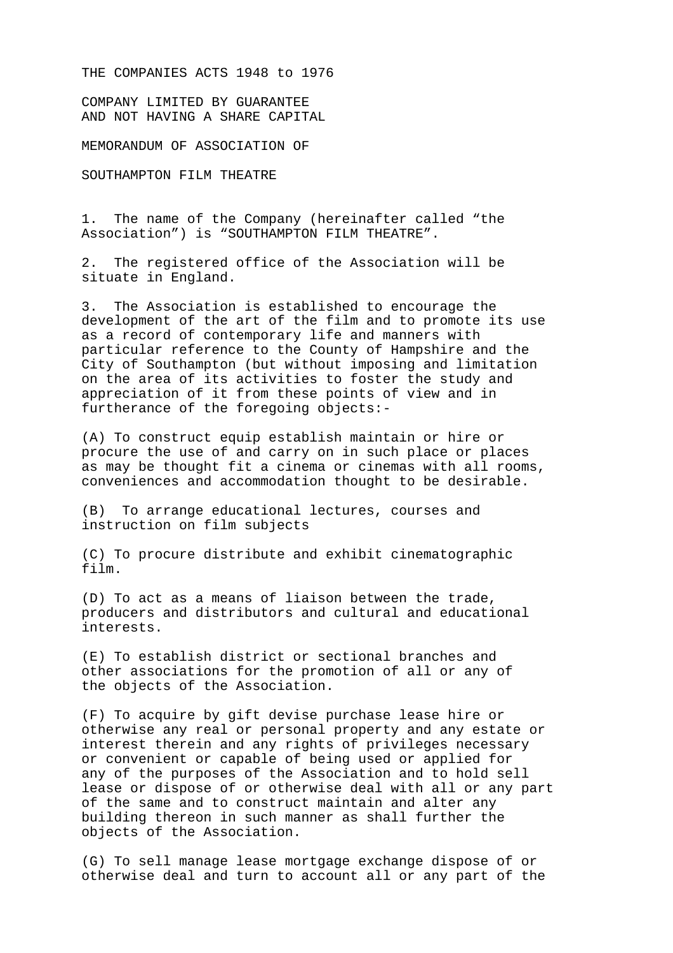THE COMPANIES ACTS 1948 to 1976

COMPANY LIMITED BY GUARANTEE AND NOT HAVING A SHARE CAPITAL

MEMORANDUM OF ASSOCIATION OF

SOUTHAMPTON FILM THEATRE

1. The name of the Company (hereinafter called "the Association") is "SOUTHAMPTON FILM THEATRE".

2. The registered office of the Association will be situate in England.

3. The Association is established to encourage the development of the art of the film and to promote its use as a record of contemporary life and manners with particular reference to the County of Hampshire and the City of Southampton (but without imposing and limitation on the area of its activities to foster the study and appreciation of it from these points of view and in furtherance of the foregoing objects:-

(A) To construct equip establish maintain or hire or procure the use of and carry on in such place or places as may be thought fit a cinema or cinemas with all rooms, conveniences and accommodation thought to be desirable.

(B) To arrange educational lectures, courses and instruction on film subjects

(C) To procure distribute and exhibit cinematographic film.

(D) To act as a means of liaison between the trade, producers and distributors and cultural and educational interests.

(E) To establish district or sectional branches and other associations for the promotion of all or any of the objects of the Association.

(F) To acquire by gift devise purchase lease hire or otherwise any real or personal property and any estate or interest therein and any rights of privileges necessary or convenient or capable of being used or applied for any of the purposes of the Association and to hold sell lease or dispose of or otherwise deal with all or any part of the same and to construct maintain and alter any building thereon in such manner as shall further the objects of the Association.

(G) To sell manage lease mortgage exchange dispose of or otherwise deal and turn to account all or any part of the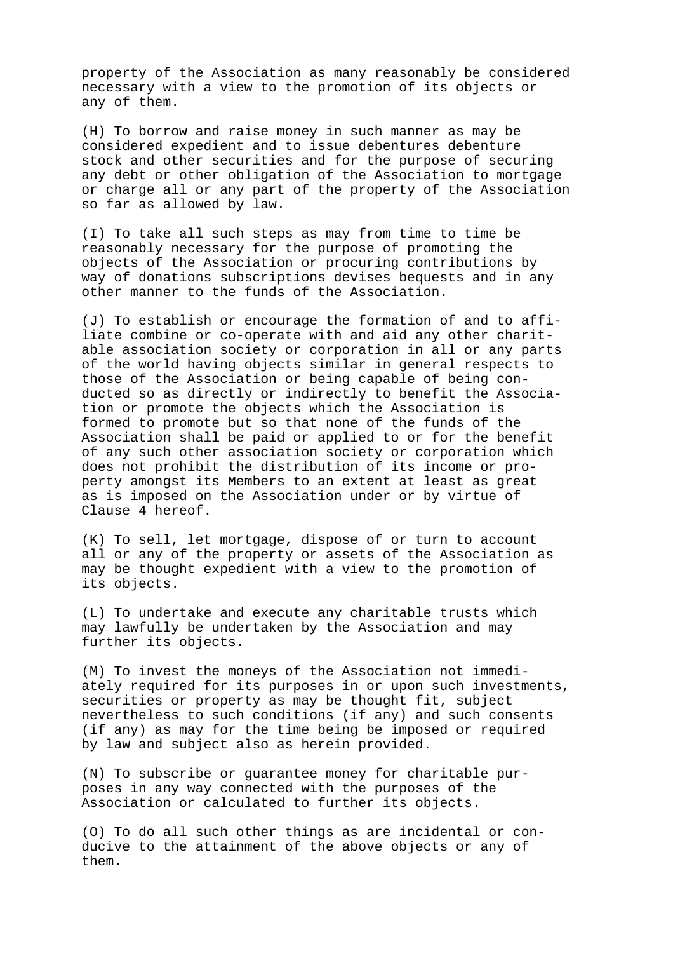property of the Association as many reasonably be considered necessary with a view to the promotion of its objects or any of them.

(H) To borrow and raise money in such manner as may be considered expedient and to issue debentures debenture stock and other securities and for the purpose of securing any debt or other obligation of the Association to mortgage or charge all or any part of the property of the Association so far as allowed by law.

(I) To take all such steps as may from time to time be reasonably necessary for the purpose of promoting the objects of the Association or procuring contributions by way of donations subscriptions devises bequests and in any other manner to the funds of the Association.

(J) To establish or encourage the formation of and to affiliate combine or co-operate with and aid any other charitable association society or corporation in all or any parts of the world having objects similar in general respects to those of the Association or being capable of being conducted so as directly or indirectly to benefit the Association or promote the objects which the Association is formed to promote but so that none of the funds of the Association shall be paid or applied to or for the benefit of any such other association society or corporation which does not prohibit the distribution of its income or property amongst its Members to an extent at least as great as is imposed on the Association under or by virtue of Clause 4 hereof.

(K) To sell, let mortgage, dispose of or turn to account all or any of the property or assets of the Association as may be thought expedient with a view to the promotion of its objects.

(L) To undertake and execute any charitable trusts which may lawfully be undertaken by the Association and may further its objects.

(M) To invest the moneys of the Association not immediately required for its purposes in or upon such investments, securities or property as may be thought fit, subject nevertheless to such conditions (if any) and such consents (if any) as may for the time being be imposed or required by law and subject also as herein provided.

(N) To subscribe or guarantee money for charitable purposes in any way connected with the purposes of the Association or calculated to further its objects.

(O) To do all such other things as are incidental or conducive to the attainment of the above objects or any of them.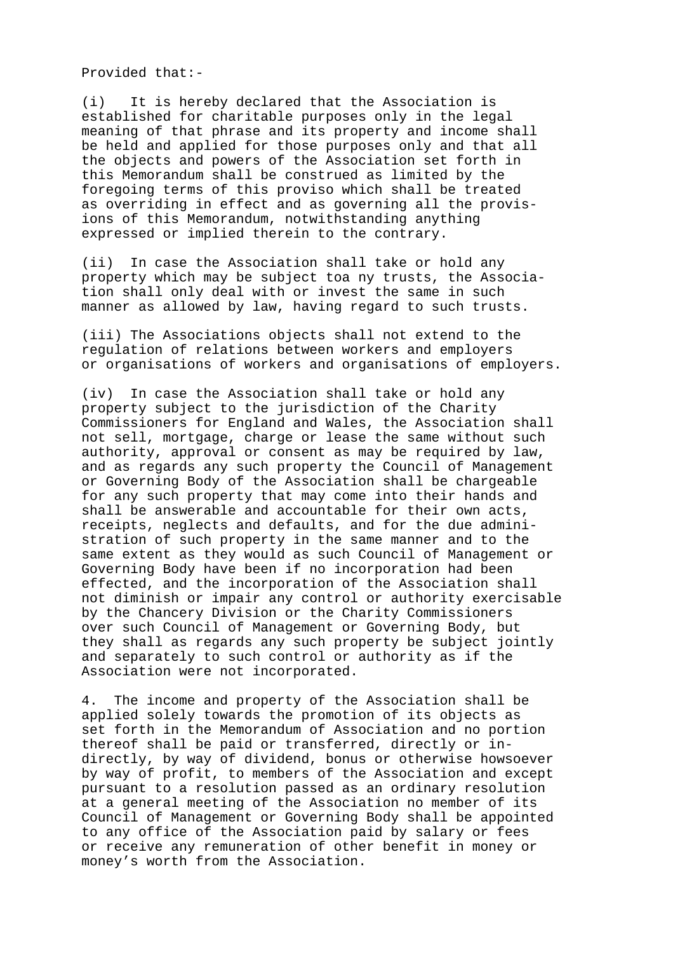Provided that:-

(i) It is hereby declared that the Association is established for charitable purposes only in the legal meaning of that phrase and its property and income shall be held and applied for those purposes only and that all the objects and powers of the Association set forth in this Memorandum shall be construed as limited by the foregoing terms of this proviso which shall be treated as overriding in effect and as governing all the provisions of this Memorandum, notwithstanding anything expressed or implied therein to the contrary.

(ii) In case the Association shall take or hold any property which may be subject toa ny trusts, the Association shall only deal with or invest the same in such manner as allowed by law, having regard to such trusts.

(iii) The Associations objects shall not extend to the regulation of relations between workers and employers or organisations of workers and organisations of employers.

(iv) In case the Association shall take or hold any property subject to the jurisdiction of the Charity Commissioners for England and Wales, the Association shall not sell, mortgage, charge or lease the same without such authority, approval or consent as may be required by law, and as regards any such property the Council of Management or Governing Body of the Association shall be chargeable for any such property that may come into their hands and shall be answerable and accountable for their own acts, receipts, neglects and defaults, and for the due administration of such property in the same manner and to the same extent as they would as such Council of Management or Governing Body have been if no incorporation had been effected, and the incorporation of the Association shall not diminish or impair any control or authority exercisable by the Chancery Division or the Charity Commissioners over such Council of Management or Governing Body, but they shall as regards any such property be subject jointly and separately to such control or authority as if the Association were not incorporated.

4. The income and property of the Association shall be applied solely towards the promotion of its objects as set forth in the Memorandum of Association and no portion thereof shall be paid or transferred, directly or indirectly, by way of dividend, bonus or otherwise howsoever by way of profit, to members of the Association and except pursuant to a resolution passed as an ordinary resolution at a general meeting of the Association no member of its Council of Management or Governing Body shall be appointed to any office of the Association paid by salary or fees or receive any remuneration of other benefit in money or money's worth from the Association.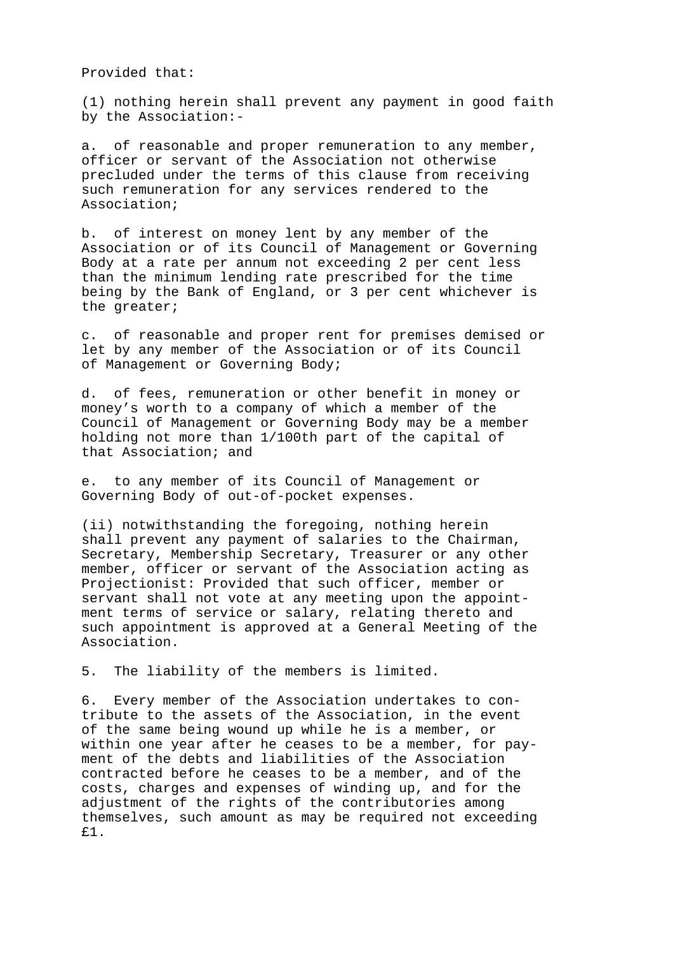Provided that:

(1) nothing herein shall prevent any payment in good faith by the Association:-

a. of reasonable and proper remuneration to any member, officer or servant of the Association not otherwise precluded under the terms of this clause from receiving such remuneration for any services rendered to the Association;

b. of interest on money lent by any member of the Association or of its Council of Management or Governing Body at a rate per annum not exceeding 2 per cent less than the minimum lending rate prescribed for the time being by the Bank of England, or 3 per cent whichever is the greater;

c. of reasonable and proper rent for premises demised or let by any member of the Association or of its Council of Management or Governing Body;

d. of fees, remuneration or other benefit in money or money's worth to a company of which a member of the Council of Management or Governing Body may be a member holding not more than 1/100th part of the capital of that Association; and

e. to any member of its Council of Management or Governing Body of out-of-pocket expenses.

(ii) notwithstanding the foregoing, nothing herein shall prevent any payment of salaries to the Chairman, Secretary, Membership Secretary, Treasurer or any other member, officer or servant of the Association acting as Projectionist: Provided that such officer, member or servant shall not vote at any meeting upon the appointment terms of service or salary, relating thereto and such appointment is approved at a General Meeting of the Association.

5. The liability of the members is limited.

6. Every member of the Association undertakes to contribute to the assets of the Association, in the event of the same being wound up while he is a member, or within one year after he ceases to be a member, for payment of the debts and liabilities of the Association contracted before he ceases to be a member, and of the costs, charges and expenses of winding up, and for the adjustment of the rights of the contributories among themselves, such amount as may be required not exceeding £1.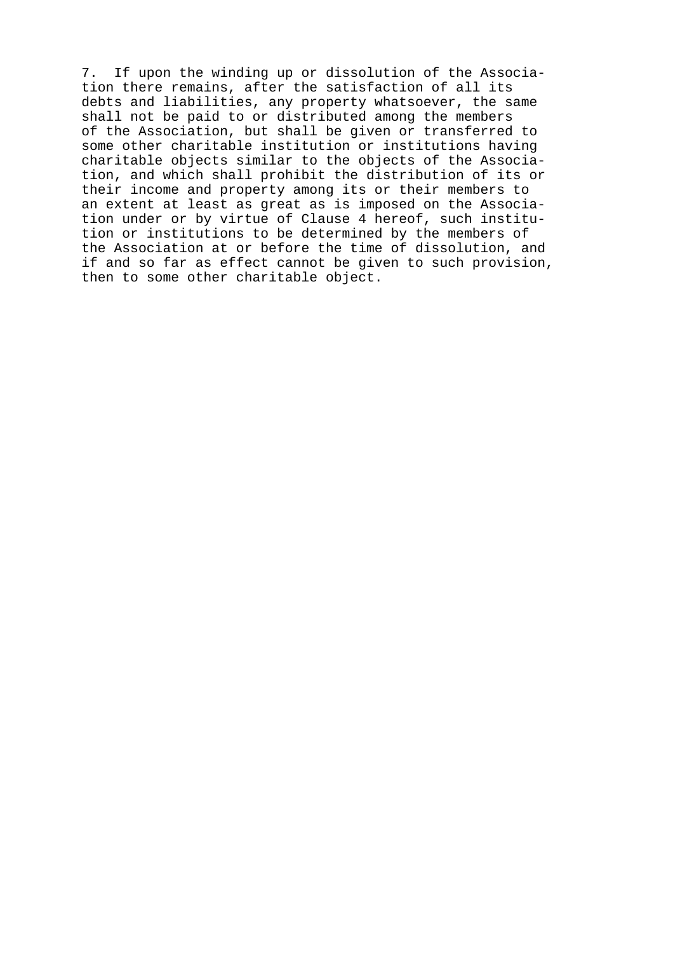7. If upon the winding up or dissolution of the Association there remains, after the satisfaction of all its debts and liabilities, any property whatsoever, the same shall not be paid to or distributed among the members of the Association, but shall be given or transferred to some other charitable institution or institutions having charitable objects similar to the objects of the Association, and which shall prohibit the distribution of its or their income and property among its or their members to an extent at least as great as is imposed on the Association under or by virtue of Clause 4 hereof, such institution or institutions to be determined by the members of the Association at or before the time of dissolution, and if and so far as effect cannot be given to such provision, then to some other charitable object.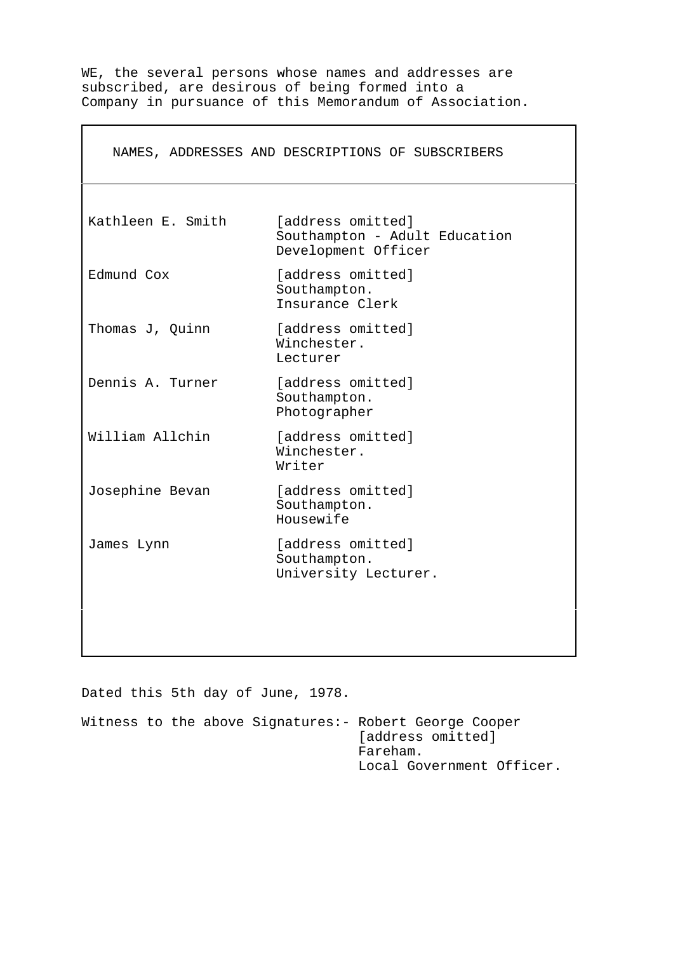WE, the several persons whose names and addresses are subscribed, are desirous of being formed into a Company in pursuance of this Memorandum of Association.

٦

 $\Gamma$ 

| NAMES, ADDRESSES AND DESCRIPTIONS OF SUBSCRIBERS |                                                                           |
|--------------------------------------------------|---------------------------------------------------------------------------|
| Kathleen E. Smith                                | [address omitted]<br>Southampton - Adult Education<br>Development Officer |
| Edmund Cox                                       | [address omitted]<br>Southampton.<br>Insurance Clerk                      |
| Thomas J, Quinn                                  | [address omitted]<br>Winchester.<br>Lecturer                              |
| Dennis A. Turner                                 | [address omitted]<br>Southampton.<br>Photographer                         |
| William Allchin                                  | [address omitted]<br>Winchester.<br>Writer                                |
| Josephine Bevan                                  | [address omitted]<br>Southampton.<br>Housewife                            |
| James Lynn                                       | [address omitted]<br>Southampton.<br>University Lecturer.                 |
|                                                  |                                                                           |

Dated this 5th day of June, 1978.

Witness to the above Signatures:- Robert George Cooper [address omitted] Fareham. Local Government Officer.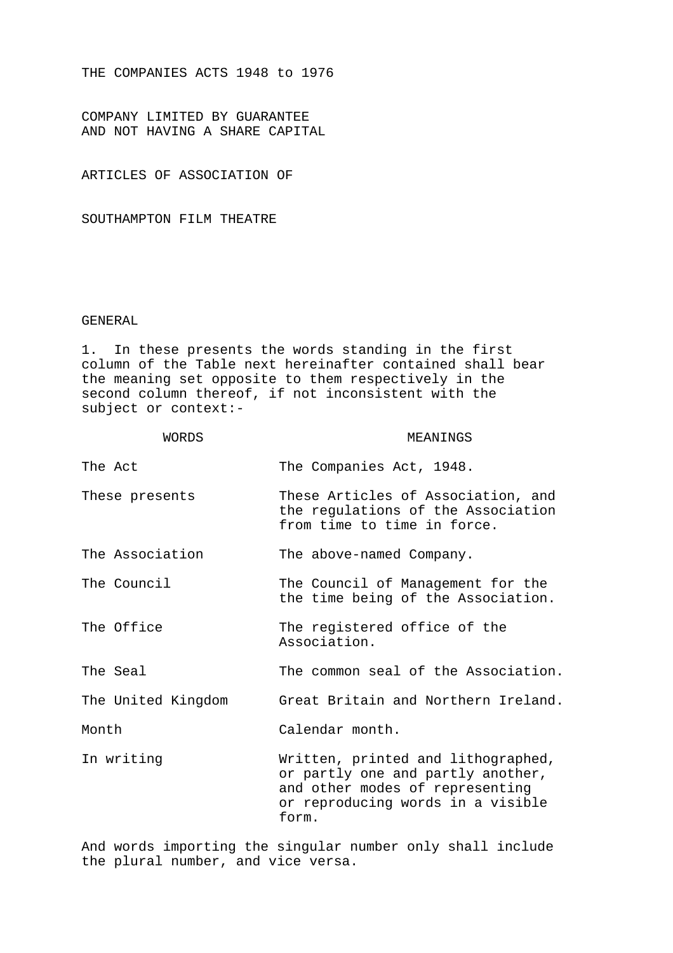THE COMPANIES ACTS 1948 to 1976

COMPANY LIMITED BY GUARANTEE AND NOT HAVING A SHARE CAPITAL

ARTICLES OF ASSOCIATION OF

SOUTHAMPTON FILM THEATRE

#### GENERAL

1. In these presents the words standing in the first column of the Table next hereinafter contained shall bear the meaning set opposite to them respectively in the second column thereof, if not inconsistent with the subject or context:-

| <b>WORDS</b>       | MEANINGS                                                                                                                                                 |
|--------------------|----------------------------------------------------------------------------------------------------------------------------------------------------------|
| The Act            | The Companies Act, 1948.                                                                                                                                 |
| These presents     | These Articles of Association, and<br>the regulations of the Association<br>from time to time in force.                                                  |
| The Association    | The above-named Company.                                                                                                                                 |
| The Council        | The Council of Management for the<br>the time being of the Association.                                                                                  |
| The Office         | The registered office of the<br>Association.                                                                                                             |
| The Seal           | The common seal of the Association.                                                                                                                      |
| The United Kingdom | Great Britain and Northern Ireland.                                                                                                                      |
| Month              | Calendar month.                                                                                                                                          |
| In writing         | Written, printed and lithographed,<br>or partly one and partly another,<br>and other modes of representing<br>or reproducing words in a visible<br>form. |

And words importing the singular number only shall include the plural number, and vice versa.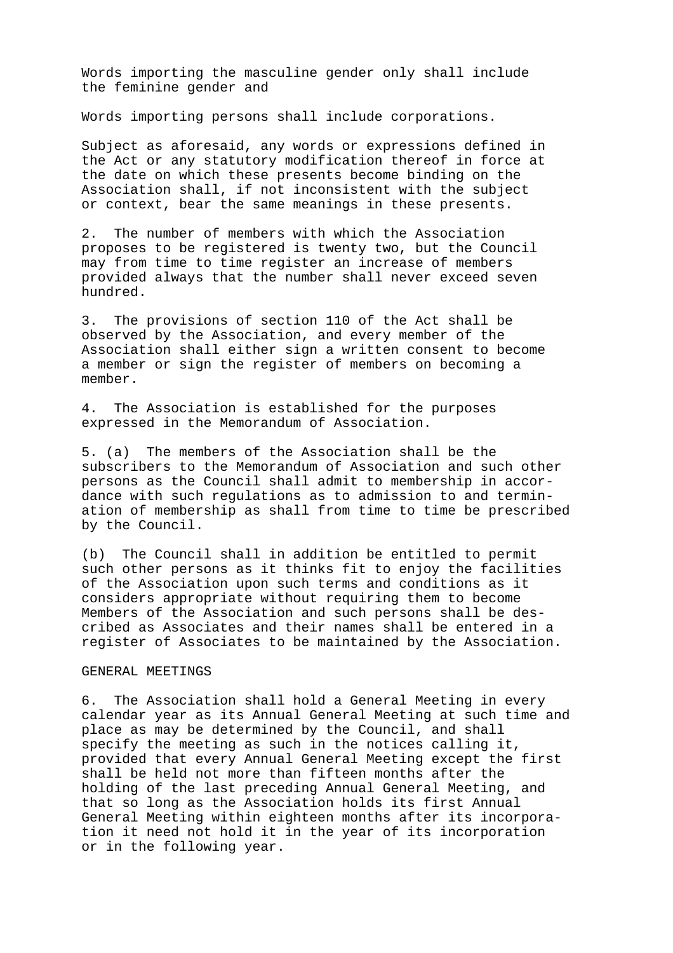Words importing the masculine gender only shall include the feminine gender and

Words importing persons shall include corporations.

Subject as aforesaid, any words or expressions defined in the Act or any statutory modification thereof in force at the date on which these presents become binding on the Association shall, if not inconsistent with the subject or context, bear the same meanings in these presents.

2. The number of members with which the Association proposes to be registered is twenty two, but the Council may from time to time register an increase of members provided always that the number shall never exceed seven hundred.

3. The provisions of section 110 of the Act shall be observed by the Association, and every member of the Association shall either sign a written consent to become a member or sign the register of members on becoming a member.

4. The Association is established for the purposes expressed in the Memorandum of Association.

5. (a) The members of the Association shall be the subscribers to the Memorandum of Association and such other persons as the Council shall admit to membership in accordance with such regulations as to admission to and termination of membership as shall from time to time be prescribed by the Council.

(b) The Council shall in addition be entitled to permit such other persons as it thinks fit to enjoy the facilities of the Association upon such terms and conditions as it considers appropriate without requiring them to become Members of the Association and such persons shall be described as Associates and their names shall be entered in a register of Associates to be maintained by the Association.

## GENERAL MEETINGS

6. The Association shall hold a General Meeting in every calendar year as its Annual General Meeting at such time and place as may be determined by the Council, and shall specify the meeting as such in the notices calling it, provided that every Annual General Meeting except the first shall be held not more than fifteen months after the holding of the last preceding Annual General Meeting, and that so long as the Association holds its first Annual General Meeting within eighteen months after its incorporation it need not hold it in the year of its incorporation or in the following year.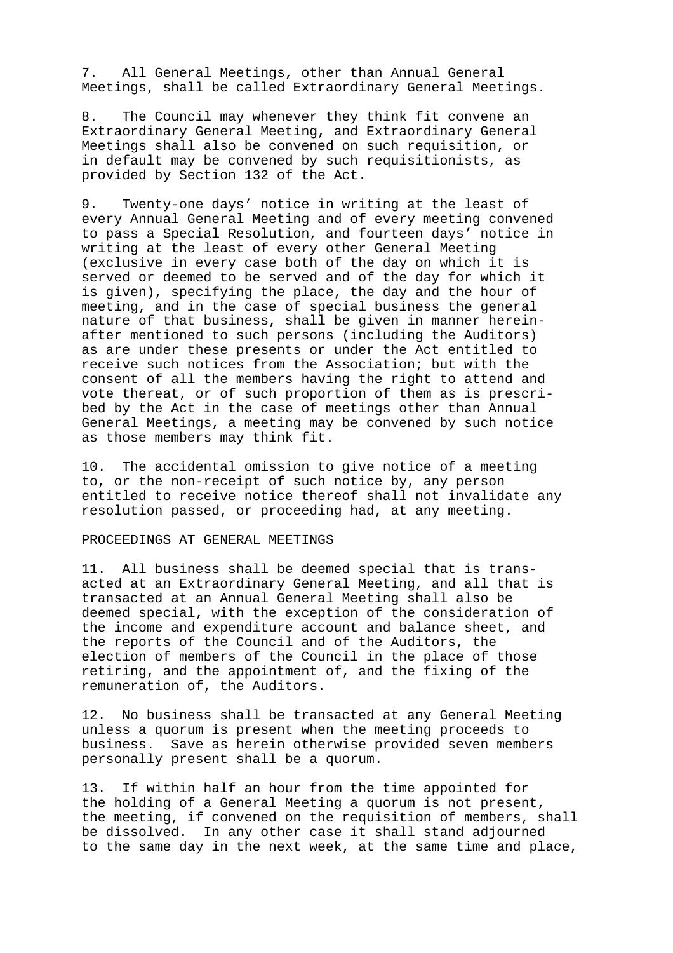7. All General Meetings, other than Annual General Meetings, shall be called Extraordinary General Meetings.

8. The Council may whenever they think fit convene an Extraordinary General Meeting, and Extraordinary General Meetings shall also be convened on such requisition, or in default may be convened by such requisitionists, as provided by Section 132 of the Act.

9. Twenty-one days' notice in writing at the least of every Annual General Meeting and of every meeting convened to pass a Special Resolution, and fourteen days' notice in writing at the least of every other General Meeting (exclusive in every case both of the day on which it is served or deemed to be served and of the day for which it is given), specifying the place, the day and the hour of meeting, and in the case of special business the general nature of that business, shall be given in manner hereinafter mentioned to such persons (including the Auditors) as are under these presents or under the Act entitled to receive such notices from the Association; but with the consent of all the members having the right to attend and vote thereat, or of such proportion of them as is prescribed by the Act in the case of meetings other than Annual General Meetings, a meeting may be convened by such notice as those members may think fit.

10. The accidental omission to give notice of a meeting to, or the non-receipt of such notice by, any person entitled to receive notice thereof shall not invalidate any resolution passed, or proceeding had, at any meeting.

## PROCEEDINGS AT GENERAL MEETINGS

11. All business shall be deemed special that is transacted at an Extraordinary General Meeting, and all that is transacted at an Annual General Meeting shall also be deemed special, with the exception of the consideration of the income and expenditure account and balance sheet, and the reports of the Council and of the Auditors, the election of members of the Council in the place of those retiring, and the appointment of, and the fixing of the remuneration of, the Auditors.

12. No business shall be transacted at any General Meeting unless a quorum is present when the meeting proceeds to business. Save as herein otherwise provided seven members personally present shall be a quorum.

13. If within half an hour from the time appointed for the holding of a General Meeting a quorum is not present, the meeting, if convened on the requisition of members, shall be dissolved. In any other case it shall stand adjourned to the same day in the next week, at the same time and place,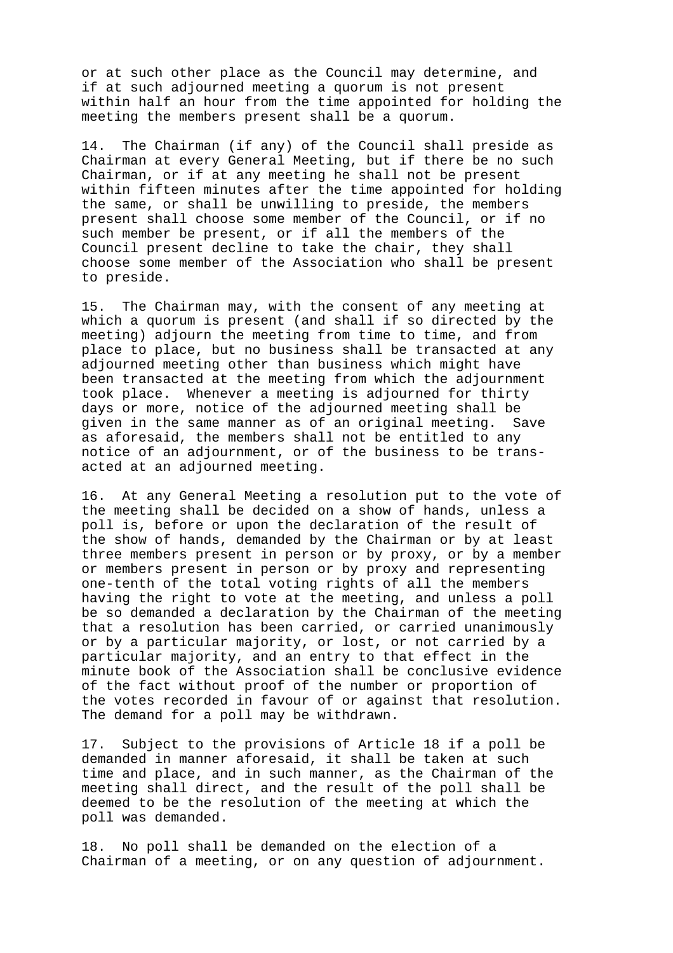or at such other place as the Council may determine, and if at such adjourned meeting a quorum is not present within half an hour from the time appointed for holding the meeting the members present shall be a quorum.

14. The Chairman (if any) of the Council shall preside as Chairman at every General Meeting, but if there be no such Chairman, or if at any meeting he shall not be present within fifteen minutes after the time appointed for holding the same, or shall be unwilling to preside, the members present shall choose some member of the Council, or if no such member be present, or if all the members of the Council present decline to take the chair, they shall choose some member of the Association who shall be present to preside.

15. The Chairman may, with the consent of any meeting at which a quorum is present (and shall if so directed by the meeting) adjourn the meeting from time to time, and from place to place, but no business shall be transacted at any adjourned meeting other than business which might have been transacted at the meeting from which the adjournment took place. Whenever a meeting is adjourned for thirty days or more, notice of the adjourned meeting shall be given in the same manner as of an original meeting. Save as aforesaid, the members shall not be entitled to any notice of an adjournment, or of the business to be transacted at an adjourned meeting.

16. At any General Meeting a resolution put to the vote of the meeting shall be decided on a show of hands, unless a poll is, before or upon the declaration of the result of the show of hands, demanded by the Chairman or by at least three members present in person or by proxy, or by a member or members present in person or by proxy and representing one-tenth of the total voting rights of all the members having the right to vote at the meeting, and unless a poll be so demanded a declaration by the Chairman of the meeting that a resolution has been carried, or carried unanimously or by a particular majority, or lost, or not carried by a particular majority, and an entry to that effect in the minute book of the Association shall be conclusive evidence of the fact without proof of the number or proportion of the votes recorded in favour of or against that resolution. The demand for a poll may be withdrawn.

17. Subject to the provisions of Article 18 if a poll be demanded in manner aforesaid, it shall be taken at such time and place, and in such manner, as the Chairman of the meeting shall direct, and the result of the poll shall be deemed to be the resolution of the meeting at which the poll was demanded.

18. No poll shall be demanded on the election of a Chairman of a meeting, or on any question of adjournment.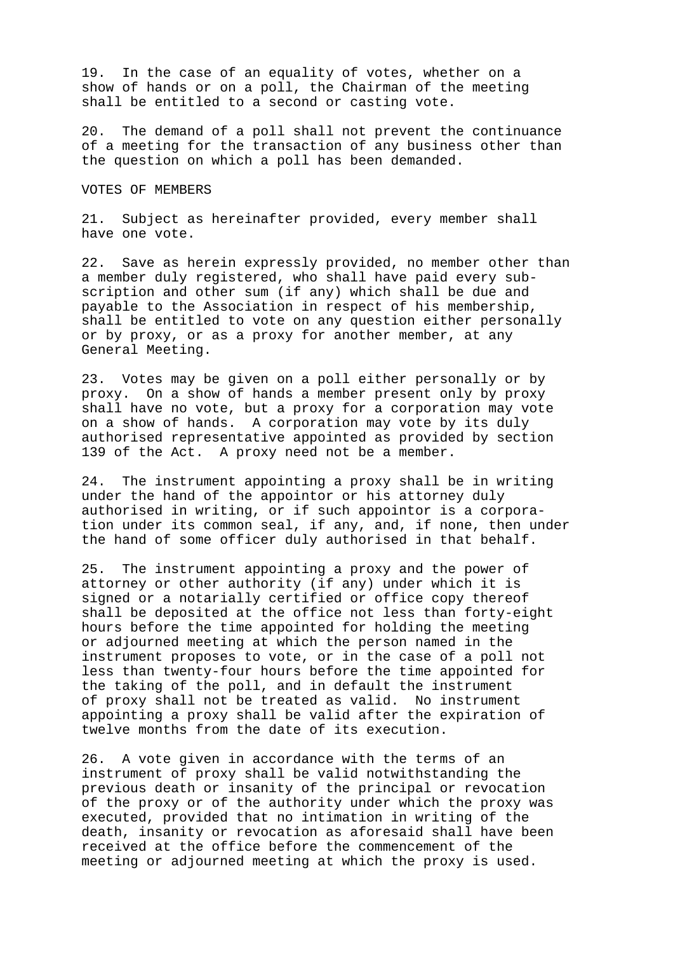19. In the case of an equality of votes, whether on a show of hands or on a poll, the Chairman of the meeting shall be entitled to a second or casting vote.

20. The demand of a poll shall not prevent the continuance of a meeting for the transaction of any business other than the question on which a poll has been demanded.

## VOTES OF MEMBERS

21. Subject as hereinafter provided, every member shall have one vote.

22. Save as herein expressly provided, no member other than a member duly registered, who shall have paid every subscription and other sum (if any) which shall be due and payable to the Association in respect of his membership, shall be entitled to vote on any question either personally or by proxy, or as a proxy for another member, at any General Meeting.

23. Votes may be given on a poll either personally or by proxy. On a show of hands a member present only by proxy shall have no vote, but a proxy for a corporation may vote on a show of hands. A corporation may vote by its duly authorised representative appointed as provided by section 139 of the Act. A proxy need not be a member.

24. The instrument appointing a proxy shall be in writing under the hand of the appointor or his attorney duly authorised in writing, or if such appointor is a corporation under its common seal, if any, and, if none, then under the hand of some officer duly authorised in that behalf.

25. The instrument appointing a proxy and the power of attorney or other authority (if any) under which it is signed or a notarially certified or office copy thereof shall be deposited at the office not less than forty-eight hours before the time appointed for holding the meeting or adjourned meeting at which the person named in the instrument proposes to vote, or in the case of a poll not less than twenty-four hours before the time appointed for the taking of the poll, and in default the instrument of proxy shall not be treated as valid. No instrument appointing a proxy shall be valid after the expiration of twelve months from the date of its execution.

26. A vote given in accordance with the terms of an instrument of proxy shall be valid notwithstanding the previous death or insanity of the principal or revocation of the proxy or of the authority under which the proxy was executed, provided that no intimation in writing of the death, insanity or revocation as aforesaid shall have been received at the office before the commencement of the meeting or adjourned meeting at which the proxy is used.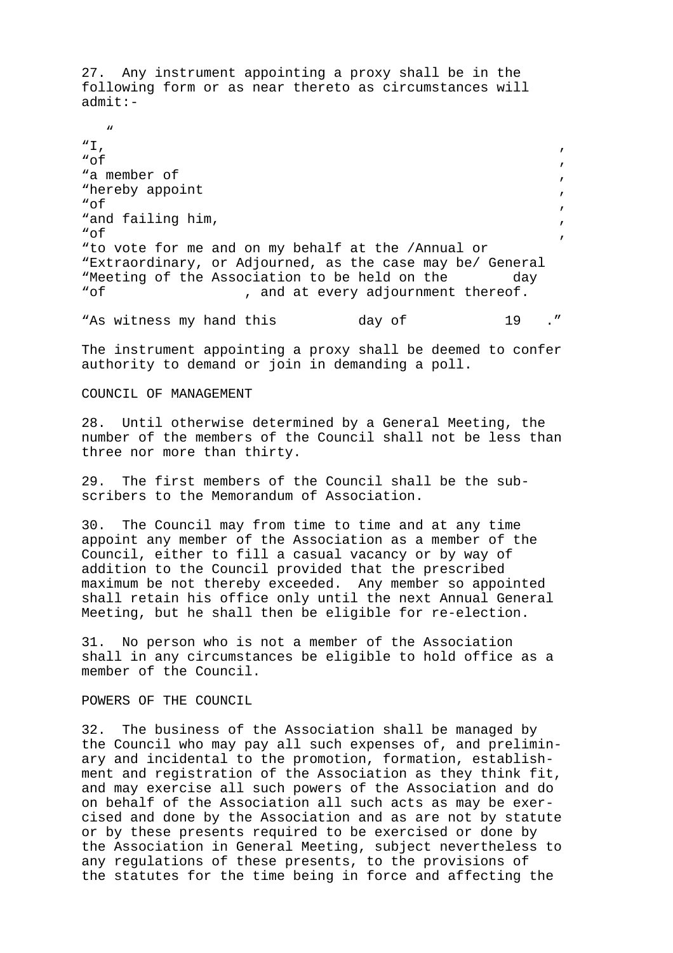27. Any instrument appointing a proxy shall be in the following form or as near thereto as circumstances will admit:-

 $''$   $\mathbb{I}$   $''$  $"I,$ "of , "a member of , "hereby appoint "of , "and failing him, "of , "to vote for me and on my behalf at the /Annual or "Extraordinary, or Adjourned, as the case may be/ General "Meeting of the Association to be held on the day "of , and at every adjournment thereof.

"As witness my hand this day of 19 ."

The instrument appointing a proxy shall be deemed to confer authority to demand or join in demanding a poll.

### COUNCIL OF MANAGEMENT

28. Until otherwise determined by a General Meeting, the number of the members of the Council shall not be less than three nor more than thirty.

29. The first members of the Council shall be the subscribers to the Memorandum of Association.

30. The Council may from time to time and at any time appoint any member of the Association as a member of the Council, either to fill a casual vacancy or by way of addition to the Council provided that the prescribed maximum be not thereby exceeded. Any member so appointed shall retain his office only until the next Annual General Meeting, but he shall then be eligible for re-election.

31. No person who is not a member of the Association shall in any circumstances be eligible to hold office as a member of the Council.

POWERS OF THE COUNCIL

32. The business of the Association shall be managed by the Council who may pay all such expenses of, and preliminary and incidental to the promotion, formation, establishment and registration of the Association as they think fit, and may exercise all such powers of the Association and do on behalf of the Association all such acts as may be exercised and done by the Association and as are not by statute or by these presents required to be exercised or done by the Association in General Meeting, subject nevertheless to any regulations of these presents, to the provisions of the statutes for the time being in force and affecting the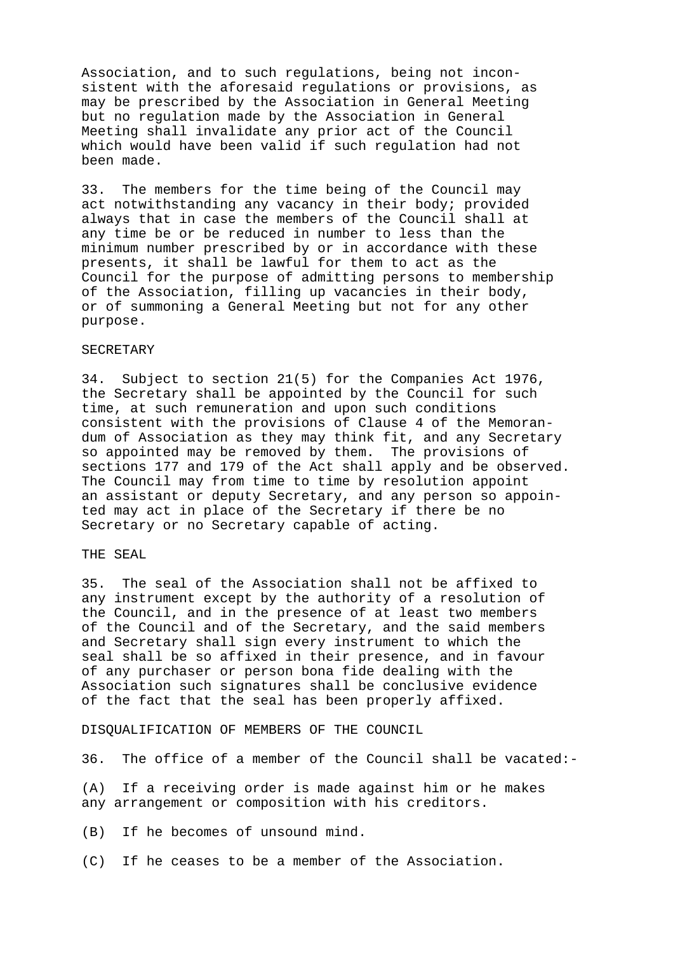Association, and to such regulations, being not inconsistent with the aforesaid regulations or provisions, as may be prescribed by the Association in General Meeting but no regulation made by the Association in General Meeting shall invalidate any prior act of the Council which would have been valid if such regulation had not been made.

33. The members for the time being of the Council may act notwithstanding any vacancy in their body; provided always that in case the members of the Council shall at any time be or be reduced in number to less than the minimum number prescribed by or in accordance with these presents, it shall be lawful for them to act as the Council for the purpose of admitting persons to membership of the Association, filling up vacancies in their body, or of summoning a General Meeting but not for any other purpose.

## SECRETARY

34. Subject to section 21(5) for the Companies Act 1976, the Secretary shall be appointed by the Council for such time, at such remuneration and upon such conditions consistent with the provisions of Clause 4 of the Memorandum of Association as they may think fit, and any Secretary so appointed may be removed by them. The provisions of sections 177 and 179 of the Act shall apply and be observed. The Council may from time to time by resolution appoint an assistant or deputy Secretary, and any person so appointed may act in place of the Secretary if there be no Secretary or no Secretary capable of acting.

#### THE SEAL

35. The seal of the Association shall not be affixed to any instrument except by the authority of a resolution of the Council, and in the presence of at least two members of the Council and of the Secretary, and the said members and Secretary shall sign every instrument to which the seal shall be so affixed in their presence, and in favour of any purchaser or person bona fide dealing with the Association such signatures shall be conclusive evidence of the fact that the seal has been properly affixed.

DISQUALIFICATION OF MEMBERS OF THE COUNCIL

36. The office of a member of the Council shall be vacated:-

(A) If a receiving order is made against him or he makes any arrangement or composition with his creditors.

(B) If he becomes of unsound mind.

(C) If he ceases to be a member of the Association.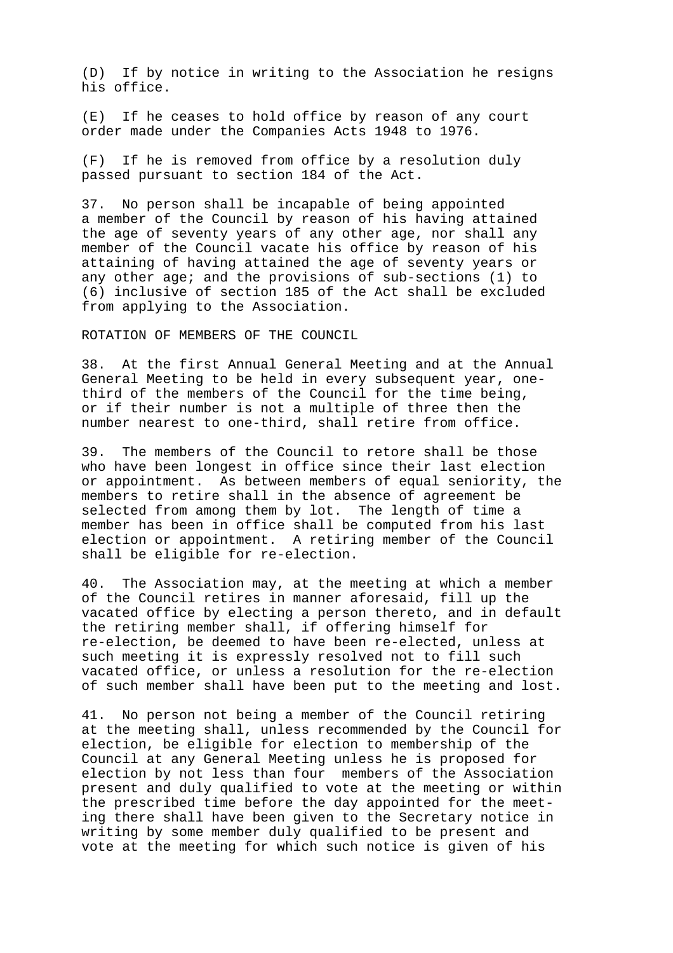(D) If by notice in writing to the Association he resigns his office.

(E) If he ceases to hold office by reason of any court order made under the Companies Acts 1948 to 1976.

(F) If he is removed from office by a resolution duly passed pursuant to section 184 of the Act.

37. No person shall be incapable of being appointed a member of the Council by reason of his having attained the age of seventy years of any other age, nor shall any member of the Council vacate his office by reason of his attaining of having attained the age of seventy years or any other age; and the provisions of sub-sections (1) to (6) inclusive of section 185 of the Act shall be excluded from applying to the Association.

ROTATION OF MEMBERS OF THE COUNCIL

38. At the first Annual General Meeting and at the Annual General Meeting to be held in every subsequent year, onethird of the members of the Council for the time being, or if their number is not a multiple of three then the number nearest to one-third, shall retire from office.

39. The members of the Council to retore shall be those who have been longest in office since their last election or appointment. As between members of equal seniority, the members to retire shall in the absence of agreement be selected from among them by lot. The length of time a member has been in office shall be computed from his last election or appointment. A retiring member of the Council shall be eligible for re-election.

40. The Association may, at the meeting at which a member of the Council retires in manner aforesaid, fill up the vacated office by electing a person thereto, and in default the retiring member shall, if offering himself for re-election, be deemed to have been re-elected, unless at such meeting it is expressly resolved not to fill such vacated office, or unless a resolution for the re-election of such member shall have been put to the meeting and lost.

41. No person not being a member of the Council retiring at the meeting shall, unless recommended by the Council for election, be eligible for election to membership of the Council at any General Meeting unless he is proposed for election by not less than four members of the Association present and duly qualified to vote at the meeting or within the prescribed time before the day appointed for the meeting there shall have been given to the Secretary notice in writing by some member duly qualified to be present and vote at the meeting for which such notice is given of his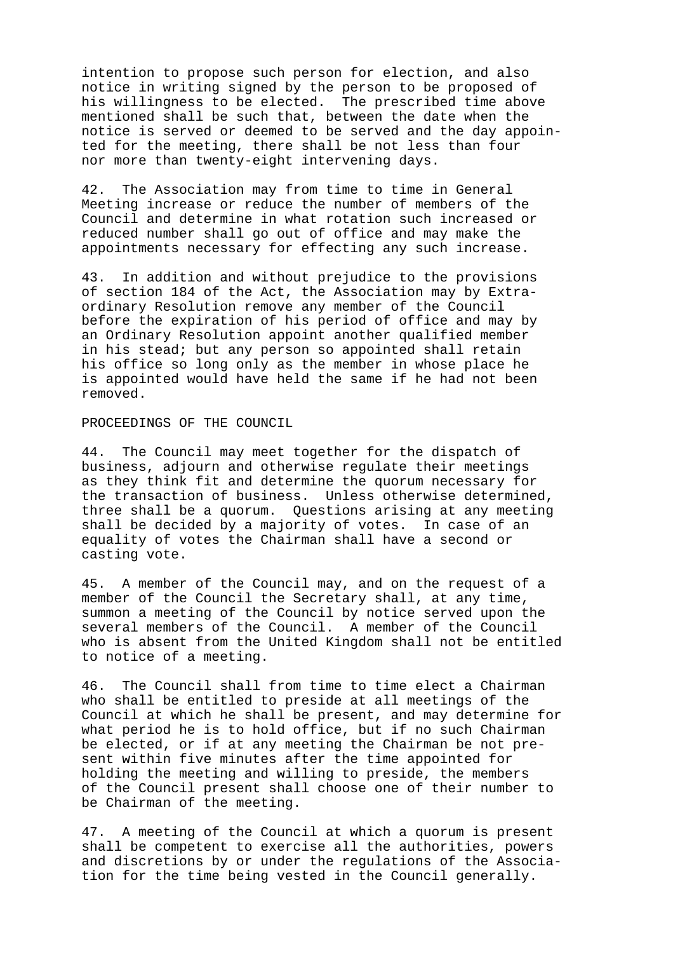intention to propose such person for election, and also notice in writing signed by the person to be proposed of his willingness to be elected. The prescribed time above mentioned shall be such that, between the date when the notice is served or deemed to be served and the day appointed for the meeting, there shall be not less than four nor more than twenty-eight intervening days.

42. The Association may from time to time in General Meeting increase or reduce the number of members of the Council and determine in what rotation such increased or reduced number shall go out of office and may make the appointments necessary for effecting any such increase.

43. In addition and without prejudice to the provisions of section 184 of the Act, the Association may by Extraordinary Resolution remove any member of the Council before the expiration of his period of office and may by an Ordinary Resolution appoint another qualified member in his stead; but any person so appointed shall retain his office so long only as the member in whose place he is appointed would have held the same if he had not been removed.

PROCEEDINGS OF THE COUNCIL

44. The Council may meet together for the dispatch of business, adjourn and otherwise regulate their meetings as they think fit and determine the quorum necessary for the transaction of business. Unless otherwise determined, three shall be a quorum. Questions arising at any meeting shall be decided by a majority of votes. In case of an equality of votes the Chairman shall have a second or casting vote.

45. A member of the Council may, and on the request of a member of the Council the Secretary shall, at any time, summon a meeting of the Council by notice served upon the several members of the Council. A member of the Council who is absent from the United Kingdom shall not be entitled to notice of a meeting.

46. The Council shall from time to time elect a Chairman who shall be entitled to preside at all meetings of the Council at which he shall be present, and may determine for what period he is to hold office, but if no such Chairman be elected, or if at any meeting the Chairman be not present within five minutes after the time appointed for holding the meeting and willing to preside, the members of the Council present shall choose one of their number to be Chairman of the meeting.

47. A meeting of the Council at which a quorum is present shall be competent to exercise all the authorities, powers and discretions by or under the regulations of the Association for the time being vested in the Council generally.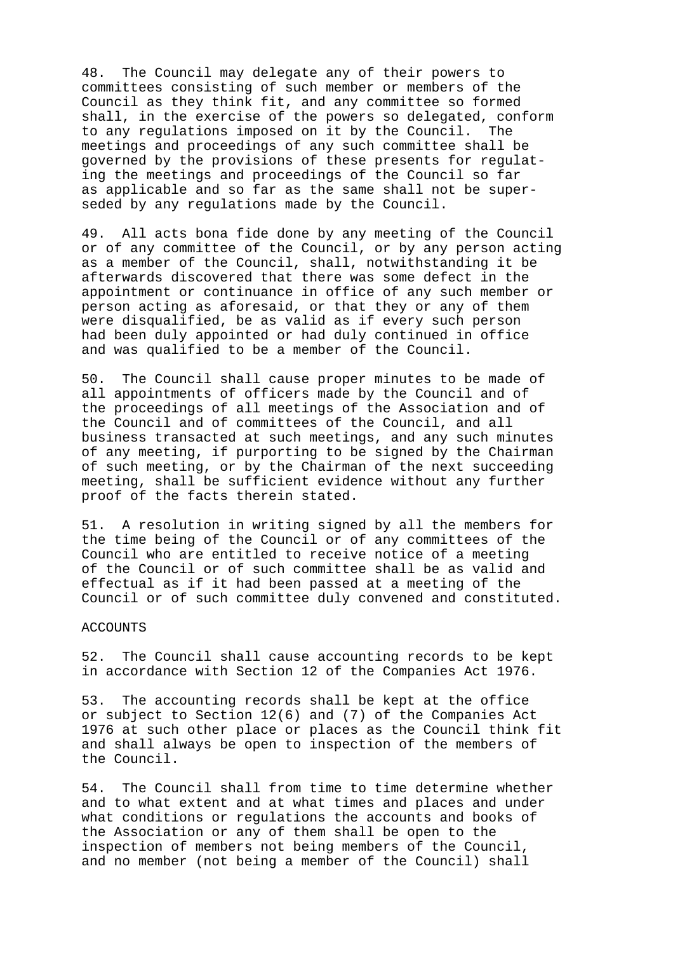48. The Council may delegate any of their powers to committees consisting of such member or members of the Council as they think fit, and any committee so formed shall, in the exercise of the powers so delegated, conform to any regulations imposed on it by the Council. The meetings and proceedings of any such committee shall be governed by the provisions of these presents for regulating the meetings and proceedings of the Council so far as applicable and so far as the same shall not be superseded by any regulations made by the Council.

49. All acts bona fide done by any meeting of the Council or of any committee of the Council, or by any person acting as a member of the Council, shall, notwithstanding it be afterwards discovered that there was some defect in the appointment or continuance in office of any such member or person acting as aforesaid, or that they or any of them were disqualified, be as valid as if every such person had been duly appointed or had duly continued in office and was qualified to be a member of the Council.

50. The Council shall cause proper minutes to be made of all appointments of officers made by the Council and of the proceedings of all meetings of the Association and of the Council and of committees of the Council, and all business transacted at such meetings, and any such minutes of any meeting, if purporting to be signed by the Chairman of such meeting, or by the Chairman of the next succeeding meeting, shall be sufficient evidence without any further proof of the facts therein stated.

51. A resolution in writing signed by all the members for the time being of the Council or of any committees of the Council who are entitled to receive notice of a meeting of the Council or of such committee shall be as valid and effectual as if it had been passed at a meeting of the Council or of such committee duly convened and constituted.

#### ACCOUNTS

52. The Council shall cause accounting records to be kept in accordance with Section 12 of the Companies Act 1976.

53. The accounting records shall be kept at the office or subject to Section 12(6) and (7) of the Companies Act 1976 at such other place or places as the Council think fit and shall always be open to inspection of the members of the Council.

54. The Council shall from time to time determine whether and to what extent and at what times and places and under what conditions or regulations the accounts and books of the Association or any of them shall be open to the inspection of members not being members of the Council, and no member (not being a member of the Council) shall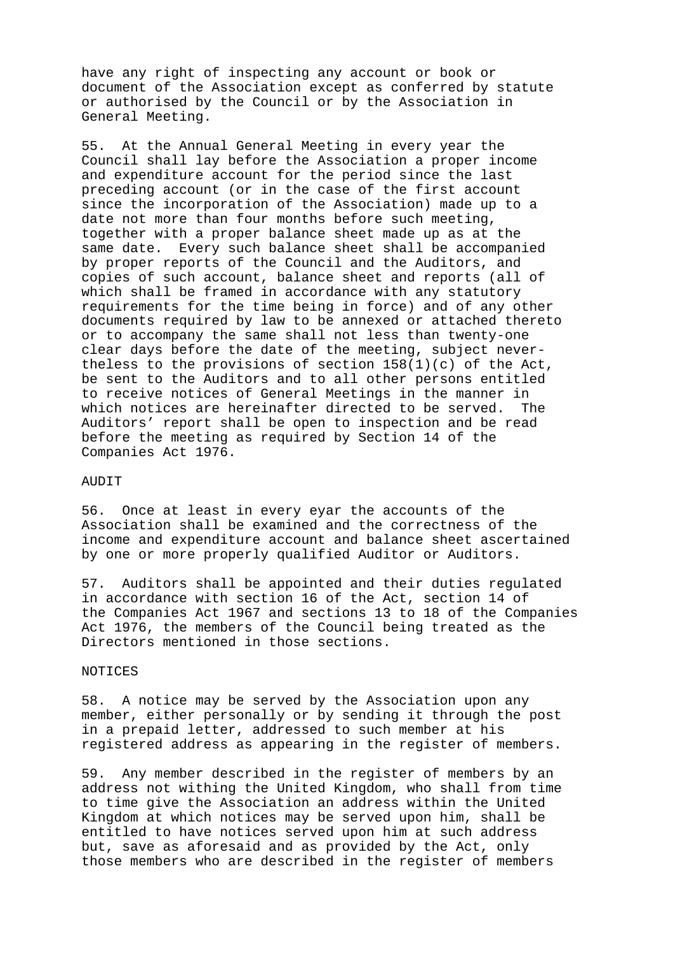have any right of inspecting any account or book or document of the Association except as conferred by statute or authorised by the Council or by the Association in General Meeting.

55. At the Annual General Meeting in every year the Council shall lay before the Association a proper income and expenditure account for the period since the last preceding account (or in the case of the first account since the incorporation of the Association) made up to a date not more than four months before such meeting, together with a proper balance sheet made up as at the same date. Every such balance sheet shall be accompanied by proper reports of the Council and the Auditors, and copies of such account, balance sheet and reports (all of which shall be framed in accordance with any statutory requirements for the time being in force) and of any other documents required by law to be annexed or attached thereto or to accompany the same shall not less than twenty-one clear days before the date of the meeting, subject nevertheless to the provisions of section  $158(1)(c)$  of the Act, be sent to the Auditors and to all other persons entitled to receive notices of General Meetings in the manner in which notices are hereinafter directed to be served. The Auditors' report shall be open to inspection and be read before the meeting as required by Section 14 of the Companies Act 1976.

## AUDIT

56. Once at least in every eyar the accounts of the Association shall be examined and the correctness of the income and expenditure account and balance sheet ascertained by one or more properly qualified Auditor or Auditors.

57. Auditors shall be appointed and their duties regulated in accordance with section 16 of the Act, section 14 of the Companies Act 1967 and sections 13 to 18 of the Companies Act 1976, the members of the Council being treated as the Directors mentioned in those sections.

#### NOTICES

58. A notice may be served by the Association upon any member, either personally or by sending it through the post in a prepaid letter, addressed to such member at his registered address as appearing in the register of members.

59. Any member described in the register of members by an address not withing the United Kingdom, who shall from time to time give the Association an address within the United Kingdom at which notices may be served upon him, shall be entitled to have notices served upon him at such address but, save as aforesaid and as provided by the Act, only those members who are described in the register of members